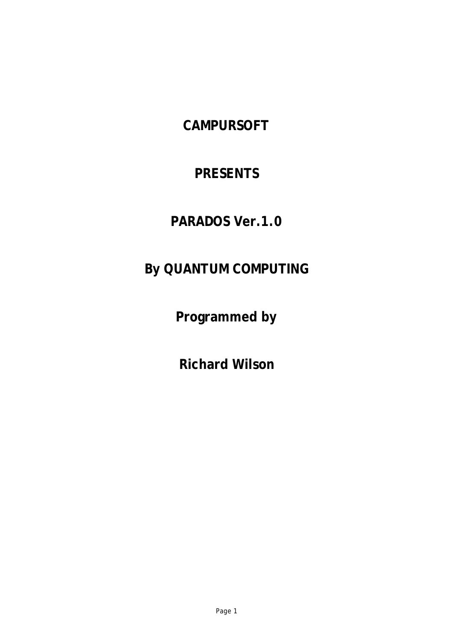## **CAMPURSOFT**

### **PRESENTS**

## **PARADOS Ver.1.0**

# **By QUANTUM COMPUTING**

**Programmed by**

**Richard Wilson**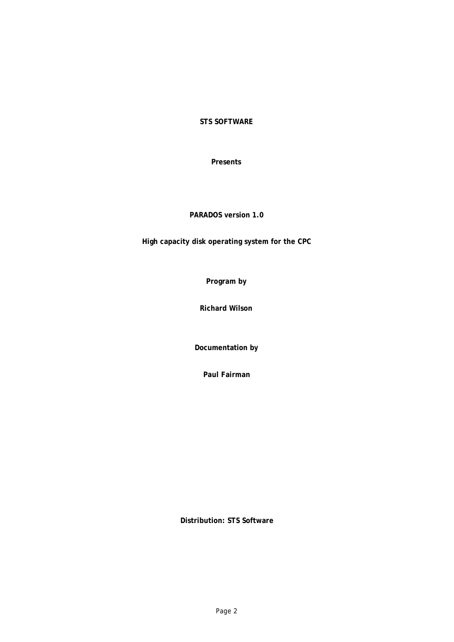**STS SOFTWARE**

**Presents**

**PARADOS version 1.0**

**High capacity disk operating system for the CPC**

**Program by**

**Richard Wilson**

**Documentation by**

**Paul Fairman**

**Distribution: STS Software**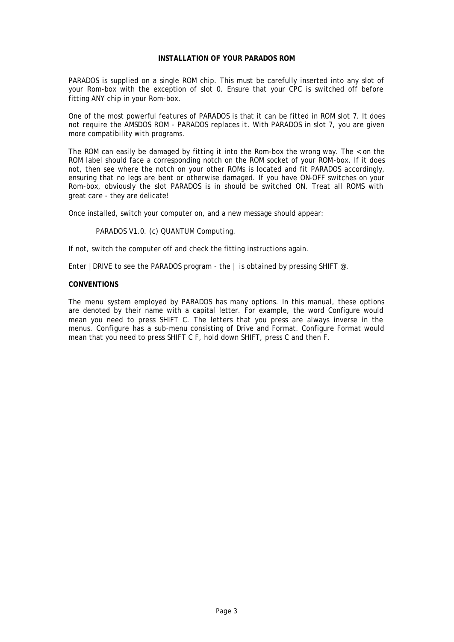#### **INSTALLATION OF YOUR PARADOS ROM**

PARADOS is supplied on a single ROM chip. This must be carefully inserted into any slot of your Rom-box with the exception of slot 0. Ensure that your CPC is switched off before fitting ANY chip in your Rom-box.

One of the most powerful features of PARADOS is that it can be fitted in ROM slot 7. It does not require the AMSDOS ROM - PARADOS replaces it. With PARADOS in slot 7, you are given more compatibility with programs.

The ROM can easily be damaged by fitting it into the Rom-box the wrong way. The < on the ROM label should face a corresponding notch on the ROM socket of your ROM-box. If it does not, then see where the notch on your other ROMs is located and fit PARADOS accordingly, ensuring that no legs are bent or otherwise damaged. If you have ON-OFF switches on your Rom-box, obviously the slot PARADOS is in should be switched ON. Treat all ROMS with great care - they are delicate!

Once installed, switch your computer on, and a new message should appear:

PARADOS V1.0. (c) QUANTUM Computing.

If not, switch the computer off and check the fitting instructions again.

Enter | DRIVE to see the PARADOS program - the  $\vert$  is obtained by pressing SHIFT  $\varnothing$ .

#### **CONVENTIONS**

The menu system employed by PARADOS has many options. In this manual, these options are denoted by their name with a capital letter. For example, the word Configure would mean you need to press SHIFT C. The letters that you press are always inverse in the menus. Configure has a sub-menu consisting of Drive and Format. Configure Format would mean that you need to press SHIFT C F, hold down SHIFT, press C and then F.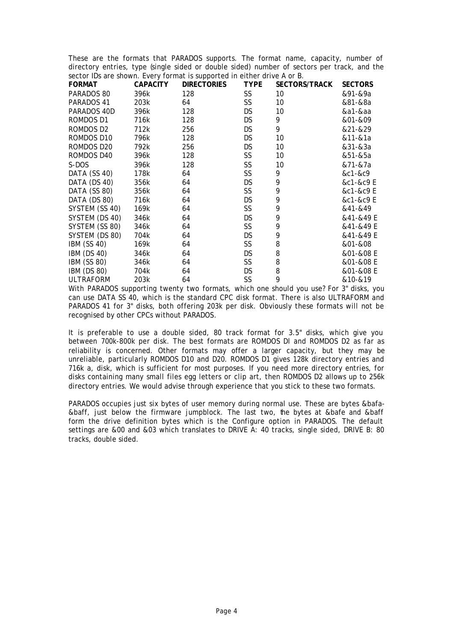These are the formats that PARADOS supports. The format name, capacity, number of directory entries, type (single sided or double sided) number of sectors per track, and the sector IDs are shown. Every format is supported in either drive A or B.

|                    |                 | $\frac{1}{2}$      |             |                      |                |
|--------------------|-----------------|--------------------|-------------|----------------------|----------------|
| <b>FORMAT</b>      | <b>CAPACITY</b> | <b>DIRECTORIES</b> | <b>TYPE</b> | <b>SECTORS/TRACK</b> | <b>SECTORS</b> |
| PARADOS 80         | 396k            | 128                | SS          | 10                   | &91-&9a        |
| PARADOS 41         | 203k            | 64                 | SS          | 10                   | &81-&8a        |
| PARADOS 40D        | 396k            | 128                | DS.         | 10                   | &a1-&aa        |
| ROMDOS D1          | 716k            | 128                | DS          | 9                    | &01-&09        |
| ROMDOS D2          | 712k            | 256                | DS.         | 9                    | &21-&29        |
| ROMDOS D10         | 796k            | 128                | DS.         | 10                   | &11-&1a        |
| ROMDOS D20         | 792k            | 256                | <b>DS</b>   | 10                   | &31-&3a        |
| ROMDOS D40         | 396k            | 128                | SS.         | 10                   | &51-&5a        |
| S-DOS              | 396k            | 128                | SS          | 10                   | &71-&7a        |
| DATA (SS 40)       | 178k            | 64                 | SS          | 9                    | &c1-&c9        |
| DATA (DS 40)       | 356k            | 64                 | <b>DS</b>   | 9                    | &c1-&c9 E      |
| DATA (SS 80)       | 356k            | 64                 | SS.         | 9                    | &c1-&c9 E      |
| DATA (DS 80)       | 716k            | 64                 | <b>DS</b>   | 9                    | &c1-&c9 E      |
| SYSTEM (SS 40)     | 169k            | 64                 | SS          | 9                    | &41-&49        |
| SYSTEM (DS 40)     | 346k            | 64                 | DS.         | 9                    | &41-&49 E      |
| SYSTEM (SS 80)     | 346k            | 64                 | SS.         | 9                    | &41-&49 E      |
| SYSTEM (DS 80)     | 704k            | 64                 | DS          | 9                    | &41-&49 E      |
| <b>IBM (SS 40)</b> | 169k            | 64                 | SS          | 8                    | &01-&08        |
| <b>IBM (DS 40)</b> | 346k            | 64                 | DS.         | 8                    | &01-&08 E      |
| IBM (SS 80)        | 346k            | 64                 | SS          | 8                    | &01-&08 E      |
| IBM (DS 80)        | 704k            | 64                 | <b>DS</b>   | 8                    | &01-&08 E      |
| <b>ULTRAFORM</b>   | 203k            | 64                 | SS          | 9                    | &10-&19        |

With PARADOS supporting twenty two formats, which one should you use? For 3" disks, you can use DATA SS 40, which is the standard CPC disk format. There is also ULTRAFORM and PARADOS 41 for 3" disks, both offering 203k per disk. Obviously these formats will not be recognised by other CPCs without PARADOS.

It is preferable to use a double sided, 80 track format for 3.5" disks, which give you between 700k-800k per disk. The best formats are ROMDOS Dl and ROMDOS D2 as far as reliability is concerned. Other formats may offer a larger capacity, but they may be unreliable, particularly ROMDOS D10 and D20. ROMDOS D1 gives 128k directory entries and 716k a, disk, which is sufficient for most purposes. If you need more directory entries, for disks containing many small files egg letters or clip art, then ROMDOS D2 allows up to 256k directory entries. We would advise through experience that you stick to these two formats.

PARADOS occupies just six bytes of user memory during normal use. These are bytes &bafa- &baff, just below the firmware jumpblock. The last two, the bytes at &bafe and &baff form the drive definition bytes which is the Configure option in PARADOS. The default settings are &00 and &03 which translates to DRIVE A: 40 tracks, single sided, DRIVE B: 80 tracks, double sided.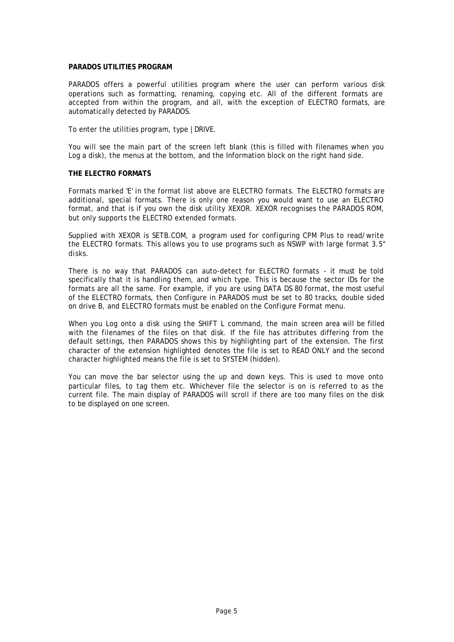#### **PARADOS UTILITIES PROGRAM**

PARADOS offers a powerful utilities program where the user can perform various disk operations such as formatting, renaming, copying etc. All of the different formats are accepted from within the program, and all, with the exception of ELECTRO formats, are automatically detected by PARADOS.

To enter the utilities program, type |DRIVE.

You will see the main part of the screen left blank (this is filled with filenames when you Log a disk), the menus at the bottom, and the Information block on the right hand side.

#### **THE ELECTRO FORMATS**

Formats marked 'E' in the format list above are ELECTRO formats. The ELECTRO formats are additional, special formats. There is only one reason you would want to use an ELECTRO format, and that is if you own the disk utility XEXOR. XEXOR recognises the PARADOS ROM, but only supports the ELECTRO extended formats.

Supplied with XEXOR is SETB.COM, a program used for configuring CPM Plus to read/write the ELECTRO formats. This allows you to use programs such as NSWP with large format 3.5" disks.

There is no way that PARADOS can auto-detect for ELECTRO formats - it must be told specifically that it is handling them, and which type. This is because the sector IDs for the formats are all the same. For example, if you are using DATA DS 80 format, the most useful of the ELECTRO formats, then Configure in PARADOS must be set to 80 tracks, double sided on drive B, and ELECTRO formats must be enabled on the Configure Format menu.

When you Log onto a disk using the SHIFT L command, the main screen area will be filled with the filenames of the files on that disk. If the file has attributes differing from the default settings, then PARADOS shows this by highlighting part of the extension. The first character of the extension highlighted denotes the file is set to READ ONLY and the second character highlighted means the file is set to SYSTEM (hidden).

You can move the bar selector using the up and down keys. This is used to move onto particular files, to tag them etc. Whichever file the selector is on is referred to as the current file. The main display of PARADOS will scroll if there are too many files on the disk to be displayed on one screen.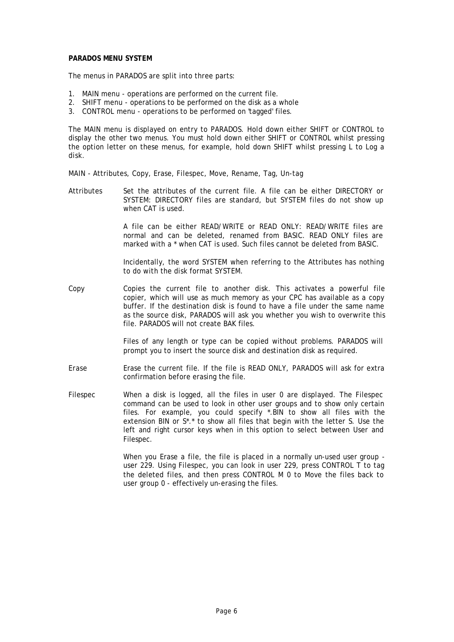#### **PARADOS MENU SYSTEM**

The menus in PARADOS are split into three parts:

- 1. MAIN menu operations are performed on the current file.
- 2. SHIFT menu operations to be performed on the disk as a whole
- 3. CONTROL menu operations to be performed on 'tagged' files.

The MAIN menu is displayed on entry to PARADOS. Hold down either SHIFT or CONTROL to display the other two menus. You must hold down either SHIFT or CONTROL whilst pressing the option letter on these menus, for example, hold down SHIFT whilst pressing L to Log a disk.

MAIN - Attributes, Copy, Erase, Filespec, Move, Rename, Tag, Un-tag

Attributes Set the attributes of the current file. A file can be either DIRECTORY or SYSTEM: DIRECTORY files are standard, but SYSTEM files do not show up when CAT is used.

> A file can be either READ/WRITE or READ ONLY: READ/WRITE files are normal and can be deleted, renamed from BASIC. READ ONLY files are marked with a \* when CAT is used. Such files cannot be deleted from BASIC.

> Incidentally, the word SYSTEM when referring to the Attributes has nothing to do with the disk format SYSTEM.

Copy Copies the current file to another disk. This activates a powerful file copier, which will use as much memory as your CPC has available as a copy buffer. If the destination disk is found to have a file under the same name as the source disk, PARADOS will ask you whether you wish to overwrite this file. PARADOS will not create BAK files.

> Files of any length or type can be copied without problems. PARADOS will prompt you to insert the source disk and destination disk as required.

- Erase Erase the current file. If the file is READ ONLY, PARADOS will ask for extra confirmation before erasing the file.
- Filespec When a disk is logged, all the files in user 0 are displayed. The Filespec command can be used to look in other user groups and to show only certain files. For example, you could specify \*.BIN to show all files with the extension BIN or S\*.\* to show all files that begin with the letter S. Use the left and right cursor keys when in this option to select between User and Filespec.

When you Erase a file, the file is placed in a normally un-used user group user 229. Using Filespec, you can look in user 229, press CONTROL T to tag the deleted files, and then press CONTROL M 0 to Move the files back to user group 0 - effectively un-erasing the files.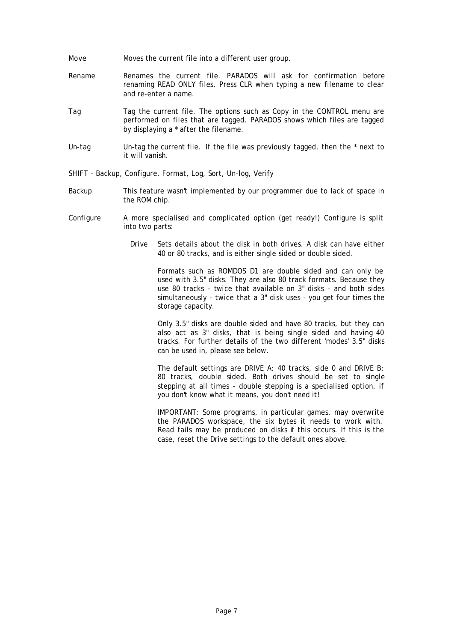- Move Moves the current file into a different user group.
- Rename Renames the current file. PARADOS will ask for confirmation before renaming READ ONLY files. Press CLR when typing a new filename to clear and re-enter a name.
- Tag Tag the current file. The options such as Copy in the CONTROL menu are performed on files that are tagged. PARADOS shows which files are tagged by displaying a \* after the filename.
- Un-tag Un-tag the current file. If the file was previously tagged, then the \* next to it will vanish.
- SHIFT Backup, Configure, Format, Log, Sort, Un-log, Verify
- Backup This feature wasn't implemented by our programmer due to lack of space in the ROM chip.
- Configure A more specialised and complicated option (get ready!) Configure is split into two parts:
	- Drive Sets details about the disk in both drives. A disk can have either 40 or 80 tracks, and is either single sided or double sided.

Formats such as ROMDOS D1 are double sided and can only be used with 3.5" disks. They are also 80 track formats. Because they use 80 tracks - twice that available on 3" disks - and both sides simultaneously - twice that a 3" disk uses - you get four times the storage capacity.

Only 3.5" disks are double sided and have 80 tracks, but they can also act as 3" disks, that is being single sided and having 40 tracks. For further details of the two different 'modes' 3.5" disks can be used in, please see below.

The default settings are DRIVE A: 40 tracks, side 0 and DRIVE B: 80 tracks, double sided. Both drives should be set to single stepping at all times - double stepping is a specialised option, if you don't know what it means, you don't need it!

IMPORTANT: Some programs, in particular games, may overwrite the PARADOS workspace, the six bytes it needs to work with. Read fails may be produced on disks if this occurs. If this is the case, reset the Drive settings to the default ones above.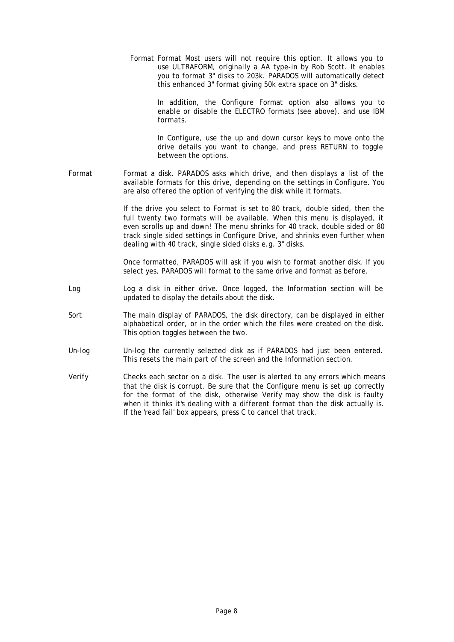Format Format Most users will not require this option. It allows you to use ULTRAFORM, originally a AA type-in by Rob Scott. It enables you to format 3" disks to 203k. PARADOS will automatically detect this enhanced 3" format giving 50k extra space on 3" disks.

> In addition, the Configure Format option also allows you to enable or disable the ELECTRO formats (see above), and use IBM formats.

> In Configure, use the up and down cursor keys to move onto the drive details you want to change, and press RETURN to toggle between the options.

Format Format a disk. PARADOS asks which drive, and then displays a list of the available formats for this drive, depending on the settings in Configure. You are also offered the option of verifying the disk while it formats.

> If the drive you select to Format is set to 80 track, double sided, then the full twenty two formats will be available. When this menu is displayed, it even scrolls up and down! The menu shrinks for 40 track, double sided or 80 track single sided settings in Configure Drive, and shrinks even further when dealing with 40 track, single sided disks e.g. 3" disks.

> Once formatted, PARADOS will ask if you wish to format another disk. If you select yes, PARADOS will format to the same drive and format as before.

- Log Log a disk in either drive. Once logged, the Information section will be updated to display the details about the disk.
- Sort The main display of PARADOS, the disk directory, can be displayed in either alphabetical order, or in the order which the files were created on the disk. This option toggles between the two.
- Un-log Un-log the currently selected disk as if PARADOS had just been entered. This resets the main part of the screen and the Information section.
- Verify Checks each sector on a disk. The user is alerted to any errors which means that the disk is corrupt. Be sure that the Configure menu is set up correctly for the format of the disk, otherwise Verify may show the disk is faulty when it thinks it's dealing with a different format than the disk actually is. If the 'read fail' box appears, press C to cancel that track.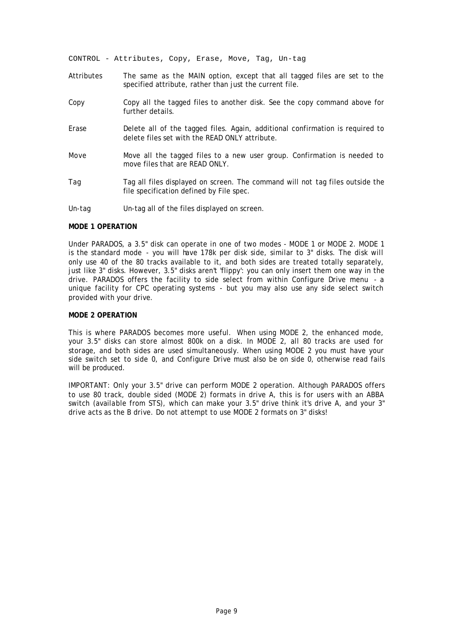CONTROL - Attributes, Copy, Erase, Move, Tag, Un-tag

- Attributes The same as the MAIN option, except that all tagged files are set to the specified attribute, rather than just the current file.
- Copy Copy all the tagged files to another disk. See the copy command above for further details.
- Erase Delete all of the tagged files. Again, additional confirmation is required to delete files set with the READ ONLY attribute.
- Move Move all the tagged files to a new user group. Confirmation is needed to move files that are READ ONLY.
- Tag Tag all files displayed on screen. The command will not tag files outside the file specification defined by File spec.
- Un-tag Un-tag all of the files displayed on screen.

#### **MODE 1 OPERATION**

Under PARADOS, a 3.5" disk can operate in one of two modes - MODE 1 or MODE 2. MODE 1 is the standard mode - you will have 178k per disk side, similar to 3" disks. The disk will only use 40 of the 80 tracks available to it, and both sides are treated totally separately, just like 3" disks. However, 3.5" disks aren't 'flippy': you can only insert them one way in the drive. PARADOS offers the facility to side select from within Configure Drive menu - a unique facility for CPC operating systems - but you may also use any side select switch provided with your drive.

#### **MODE 2 OPERATION**

This is where PARADOS becomes more useful. When using MODE 2, the enhanced mode, your 3.5" disks can store almost 800k on a disk. In MODE 2, all 80 tracks are used for storage, and both sides are used simultaneously. When using MODE 2 you must have your side switch set to side 0, and Configure Drive must also be on side 0, otherwise read fails will be produced.

IMPORTANT: Only your 3.5" drive can perform MODE 2 operation. Although PARADOS offers to use 80 track, double sided (MODE 2) formats in drive A, this is for users with an ABBA switch (available from STS), which can make your 3.5" drive think it's drive A, and your 3" drive acts as the B drive. Do not attempt to use MODE 2 formats on 3" disks!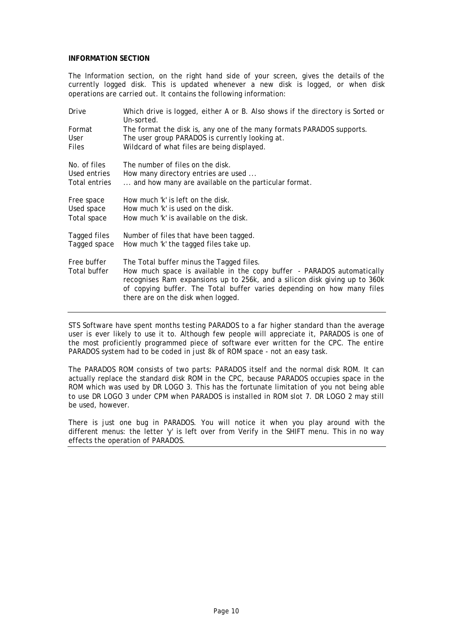### **INFORMATION SECTION**

The Information section, on the right hand side of your screen, gives the details of the currently logged disk. This is updated whenever a new disk is logged, or when disk operations are carried out. It contains the following information:

| Drive         | Which drive is logged, either A or B. Also shows if the directory is Sorted or<br>Un-sorted.                                                         |
|---------------|------------------------------------------------------------------------------------------------------------------------------------------------------|
| Format        | The format the disk is, any one of the many formats PARADOS supports.                                                                                |
| User          | The user group PARADOS is currently looking at.                                                                                                      |
| <b>Files</b>  | Wildcard of what files are being displayed.                                                                                                          |
| No. of files  | The number of files on the disk.                                                                                                                     |
| Used entries  | How many directory entries are used                                                                                                                  |
| Total entries | and how many are available on the particular format.                                                                                                 |
| Free space    | How much 'k' is left on the disk.                                                                                                                    |
| Used space    | How much 'k' is used on the disk.                                                                                                                    |
| Total space   | How much 'k' is available on the disk.                                                                                                               |
| Tagged files  | Number of files that have been tagged.                                                                                                               |
| Tagged space  | How much 'k' the tagged files take up.                                                                                                               |
| Free buffer   | The Total buffer minus the Tagged files.                                                                                                             |
| Total buffer  | How much space is available in the copy buffer - PARADOS automatically<br>recognises Ram expansions up to 256k, and a silicon disk giving up to 360k |
|               | of copying buffer. The Total buffer varies depending on how many files                                                                               |
|               | there are on the disk when logged.                                                                                                                   |
|               |                                                                                                                                                      |

STS Software have spent months testing PARADOS to a far higher standard than the average user is ever likely to use it to. Although few people will appreciate it, PARADOS is one of the most proficiently programmed piece of software ever written for the CPC. The entire PARADOS system had to be coded in just 8k of ROM space - not an easy task.

The PARADOS ROM consists of two parts: PARADOS itself and the normal disk ROM. It can actually replace the standard disk ROM in the CPC, because PARADOS occupies space in the ROM which was used by DR LOGO 3. This has the fortunate limitation of you not being able to use DR LOGO 3 under CPM when PARADOS is installed in ROM slot 7. DR LOGO 2 may still be used, however.

There is just one bug in PARADOS. You will notice it when you play around with the different menus: the letter 'y' is left over from Verify in the SHIFT menu. This in no way effects the operation of PARADOS.